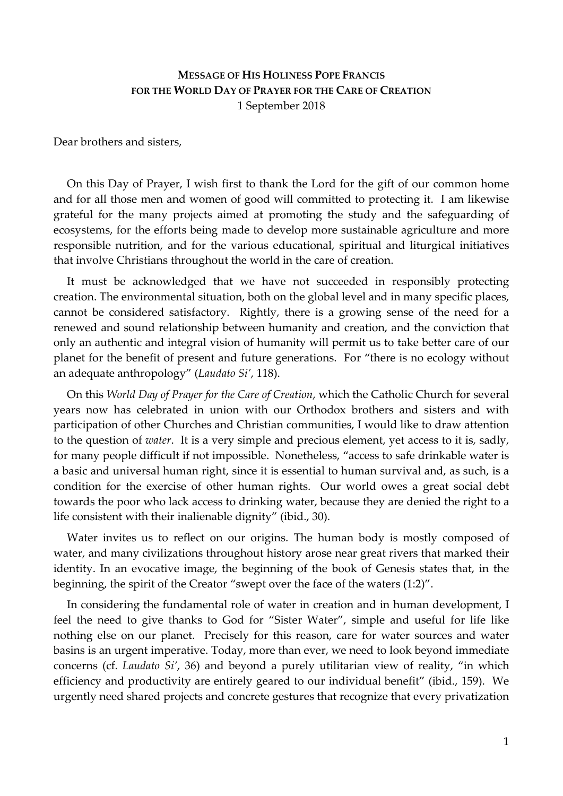## **MESSAGE OF HIS HOLINESS POPE FRANCIS FOR THE WORLD DAY OF PRAYER FOR THE CARE OF CREATION** 1 September 2018

Dear brothers and sisters,

On this Day of Prayer, I wish first to thank the Lord for the gift of our common home and for all those men and women of good will committed to protecting it. I am likewise grateful for the many projects aimed at promoting the study and the safeguarding of ecosystems, for the efforts being made to develop more sustainable agriculture and more responsible nutrition, and for the various educational, spiritual and liturgical initiatives that involve Christians throughout the world in the care of creation.

It must be acknowledged that we have not succeeded in responsibly protecting creation. The environmental situation, both on the global level and in many specific places, cannot be considered satisfactory. Rightly, there is a growing sense of the need for a renewed and sound relationship between humanity and creation, and the conviction that only an authentic and integral vision of humanity will permit us to take better care of our planet for the benefit of present and future generations. For "there is no ecology without an adequate anthropology" (*Laudato Si'*, 118).

On this *World Day of Prayer for the Care of Creation*, which the Catholic Church for several years now has celebrated in union with our Orthodox brothers and sisters and with participation of other Churches and Christian communities, I would like to draw attention to the question of *water*. It is a very simple and precious element, yet access to it is, sadly, for many people difficult if not impossible. Nonetheless, "access to safe drinkable water is a basic and universal human right, since it is essential to human survival and, as such, is a condition for the exercise of other human rights. Our world owes a great social debt towards the poor who lack access to drinking water, because they are denied the right to a life consistent with their inalienable dignity" (ibid., 30).

Water invites us to reflect on our origins. The human body is mostly composed of water, and many civilizations throughout history arose near great rivers that marked their identity. In an evocative image, the beginning of the book of Genesis states that, in the beginning, the spirit of the Creator "swept over the face of the waters (1:2)".

In considering the fundamental role of water in creation and in human development, I feel the need to give thanks to God for "Sister Water", simple and useful for life like nothing else on our planet. Precisely for this reason, care for water sources and water basins is an urgent imperative. Today, more than ever, we need to look beyond immediate concerns (cf. *Laudato Si'*, 36) and beyond a purely utilitarian view of reality, "in which efficiency and productivity are entirely geared to our individual benefit" (ibid., 159). We urgently need shared projects and concrete gestures that recognize that every privatization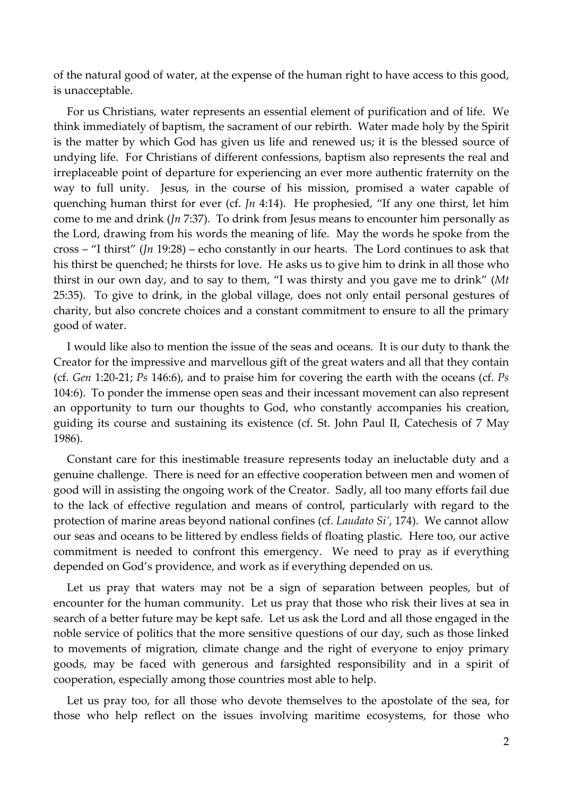of the natural good of water, at the expense of the human right to have access to this good, is unacceptable.

For us Christians, water represents an essential element of purification and of life. We think immediately of baptism, the sacrament of our rebirth. Water made holy by the Spirit is the matter by which God has given us life and renewed us; it is the blessed source of undying life. For Christians of different confessions, baptism also represents the real and irreplaceable point of departure for experiencing an ever more authentic fraternity on the way to full unity. Jesus, in the course of his mission, promised a water capable of quenching human thirst for ever (cf. *Jn* 4:14). He prophesied, "If any one thirst, let him come to me and drink (*Jn* 7:37). To drink from Jesus means to encounter him personally as the Lord, drawing from his words the meaning of life. May the words he spoke from the cross – "I thirst" (*Jn* 19:28) – echo constantly in our hearts. The Lord continues to ask that his thirst be quenched; he thirsts for love. He asks us to give him to drink in all those who thirst in our own day, and to say to them, "I was thirsty and you gave me to drink" (*Mt*  25:35). To give to drink, in the global village, does not only entail personal gestures of charity, but also concrete choices and a constant commitment to ensure to all the primary good of water.

I would like also to mention the issue of the seas and oceans. It is our duty to thank the Creator for the impressive and marvellous gift of the great waters and all that they contain (cf. *Gen* 1:20-21; *Ps* 146:6), and to praise him for covering the earth with the oceans (cf. *Ps*  104:6). To ponder the immense open seas and their incessant movement can also represent an opportunity to turn our thoughts to God, who constantly accompanies his creation, guiding its course and sustaining its existence (cf. St. John Paul II, Catechesis of 7 May 1986).

Constant care for this inestimable treasure represents today an ineluctable duty and a genuine challenge. There is need for an effective cooperation between men and women of good will in assisting the ongoing work of the Creator. Sadly, all too many efforts fail due to the lack of effective regulation and means of control, particularly with regard to the protection of marine areas beyond national confines (cf. *Laudato Si'*, 174). We cannot allow our seas and oceans to be littered by endless fields of floating plastic. Here too, our active commitment is needed to confront this emergency. We need to pray as if everything depended on God's providence, and work as if everything depended on us.

Let us pray that waters may not be a sign of separation between peoples, but of encounter for the human community. Let us pray that those who risk their lives at sea in search of a better future may be kept safe. Let us ask the Lord and all those engaged in the noble service of politics that the more sensitive questions of our day, such as those linked to movements of migration, climate change and the right of everyone to enjoy primary goods, may be faced with generous and farsighted responsibility and in a spirit of cooperation, especially among those countries most able to help.

Let us pray too, for all those who devote themselves to the apostolate of the sea, for those who help reflect on the issues involving maritime ecosystems, for those who